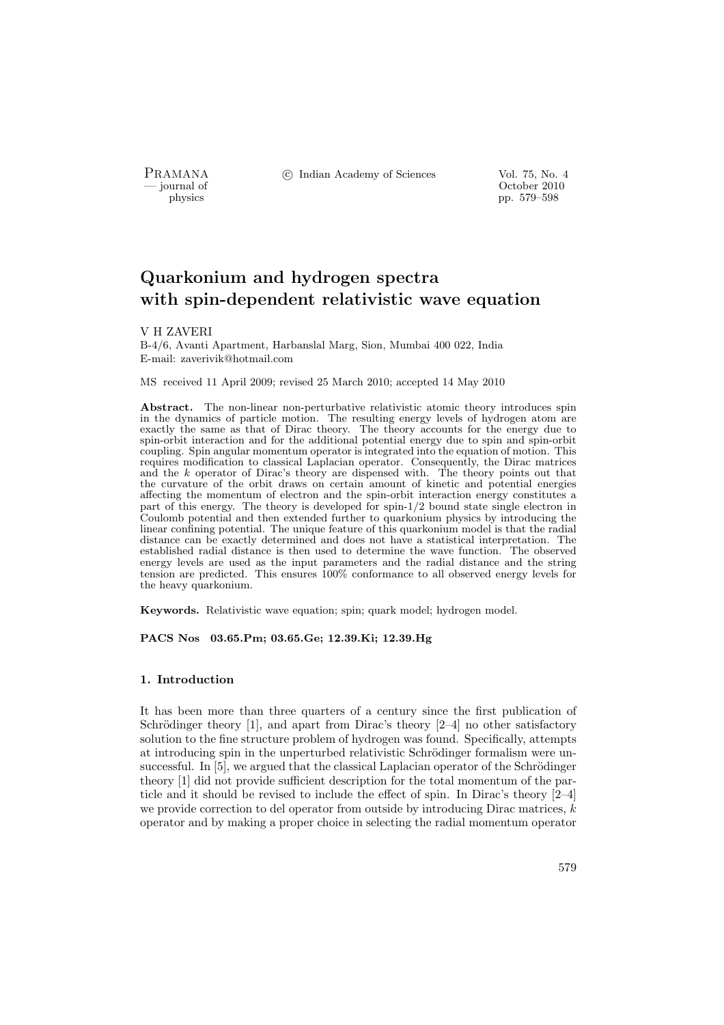PRAMANA <sup>C</sup> Indian Academy of Sciences Vol. 75, No. 4<br>
— journal of Cortober 2010

position of the contract of the contract of the contract of the contract of the contract of the contract of the contract of the contract of the contract of the contract of the contract of the contract of the contract of th pp. 579–598

# Quarkonium and hydrogen spectra with spin-dependent relativistic wave equation

# V H ZAVERI

B-4/6, Avanti Apartment, Harbanslal Marg, Sion, Mumbai 400 022, India E-mail: zaverivik@hotmail.com

MS received 11 April 2009; revised 25 March 2010; accepted 14 May 2010

Abstract. The non-linear non-perturbative relativistic atomic theory introduces spin in the dynamics of particle motion. The resulting energy levels of hydrogen atom are exactly the same as that of Dirac theory. The theory accounts for the energy due to spin-orbit interaction and for the additional potential energy due to spin and spin-orbit coupling. Spin angular momentum operator is integrated into the equation of motion. This requires modification to classical Laplacian operator. Consequently, the Dirac matrices and the k operator of Dirac's theory are dispensed with. The theory points out that the curvature of the orbit draws on certain amount of kinetic and potential energies affecting the momentum of electron and the spin-orbit interaction energy constitutes a part of this energy. The theory is developed for spin-1/2 bound state single electron in Coulomb potential and then extended further to quarkonium physics by introducing the linear confining potential. The unique feature of this quarkonium model is that the radial distance can be exactly determined and does not have a statistical interpretation. The established radial distance is then used to determine the wave function. The observed energy levels are used as the input parameters and the radial distance and the string tension are predicted. This ensures 100% conformance to all observed energy levels for the heavy quarkonium.

Keywords. Relativistic wave equation; spin; quark model; hydrogen model.

PACS Nos 03.65.Pm; 03.65.Ge; 12.39.Ki; 12.39.Hg

## 1. Introduction

It has been more than three quarters of a century since the first publication of Schrödinger theory  $[1]$ , and apart from Dirac's theory  $[2-4]$  no other satisfactory solution to the fine structure problem of hydrogen was found. Specifically, attempts at introducing spin in the unperturbed relativistic Schrödinger formalism were unsuccessful. In  $[5]$ , we argued that the classical Laplacian operator of the Schrödinger theory [1] did not provide sufficient description for the total momentum of the particle and it should be revised to include the effect of spin. In Dirac's theory [2–4] we provide correction to del operator from outside by introducing Dirac matrices,  $k$ operator and by making a proper choice in selecting the radial momentum operator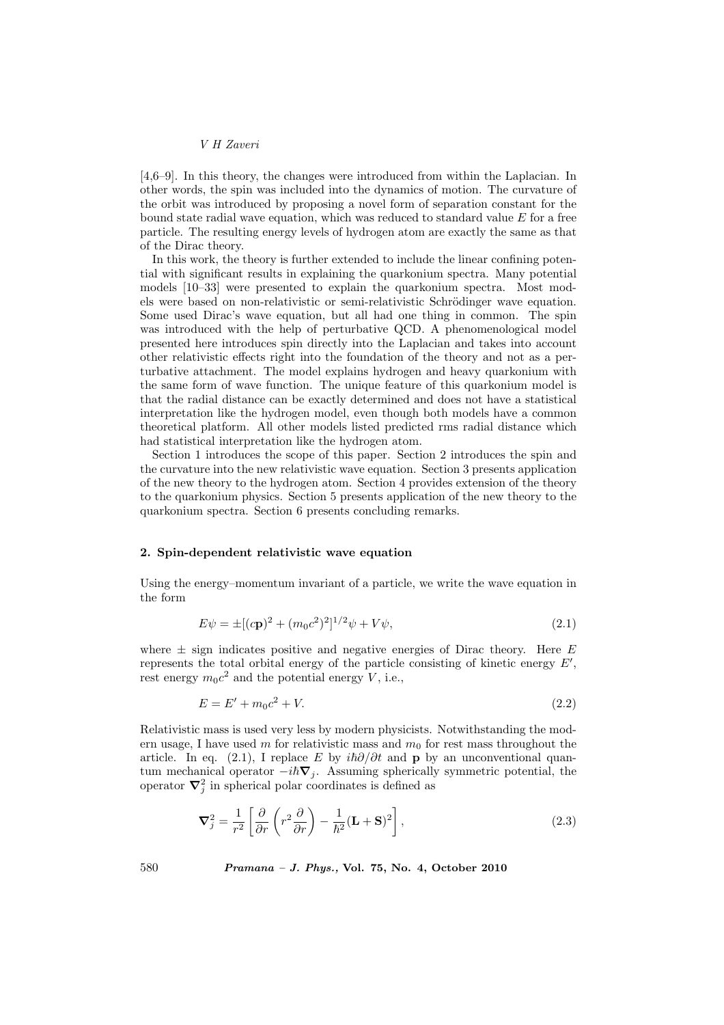[4,6–9]. In this theory, the changes were introduced from within the Laplacian. In other words, the spin was included into the dynamics of motion. The curvature of the orbit was introduced by proposing a novel form of separation constant for the bound state radial wave equation, which was reduced to standard value  $E$  for a free particle. The resulting energy levels of hydrogen atom are exactly the same as that of the Dirac theory.

In this work, the theory is further extended to include the linear confining potential with significant results in explaining the quarkonium spectra. Many potential models [10–33] were presented to explain the quarkonium spectra. Most models were based on non-relativistic or semi-relativistic Schrödinger wave equation. Some used Dirac's wave equation, but all had one thing in common. The spin was introduced with the help of perturbative QCD. A phenomenological model presented here introduces spin directly into the Laplacian and takes into account other relativistic effects right into the foundation of the theory and not as a perturbative attachment. The model explains hydrogen and heavy quarkonium with the same form of wave function. The unique feature of this quarkonium model is that the radial distance can be exactly determined and does not have a statistical interpretation like the hydrogen model, even though both models have a common theoretical platform. All other models listed predicted rms radial distance which had statistical interpretation like the hydrogen atom.

Section 1 introduces the scope of this paper. Section 2 introduces the spin and the curvature into the new relativistic wave equation. Section 3 presents application of the new theory to the hydrogen atom. Section 4 provides extension of the theory to the quarkonium physics. Section 5 presents application of the new theory to the quarkonium spectra. Section 6 presents concluding remarks.

#### 2. Spin-dependent relativistic wave equation

Using the energy–momentum invariant of a particle, we write the wave equation in the form

$$
E\psi = \pm [(c\mathbf{p})^2 + (m_0 c^2)^2]^{1/2} \psi + V\psi,
$$
\n(2.1)

where  $\pm$  sign indicates positive and negative energies of Dirac theory. Here E represents the total orbital energy of the particle consisting of kinetic energy  $E'$ , rest energy  $m_0c^2$  and the potential energy  $V$ , i.e.,

$$
E = E' + m_0 c^2 + V.
$$
\n(2.2)

Relativistic mass is used very less by modern physicists. Notwithstanding the modern usage, I have used m for relativistic mass and  $m_0$  for rest mass throughout the article. In eq. (2.1), I replace E by  $i\hbar\partial/\partial t$  and p by an unconventional quantum mechanical operator  $-i\hbar\bm{\nabla}_j$ . Assuming spherically symmetric potential, the operator  $\nabla_j^2$  in spherical polar coordinates is defined as

$$
\nabla_j^2 = \frac{1}{r^2} \left[ \frac{\partial}{\partial r} \left( r^2 \frac{\partial}{\partial r} \right) - \frac{1}{\hbar^2} (\mathbf{L} + \mathbf{S})^2 \right],\tag{2.3}
$$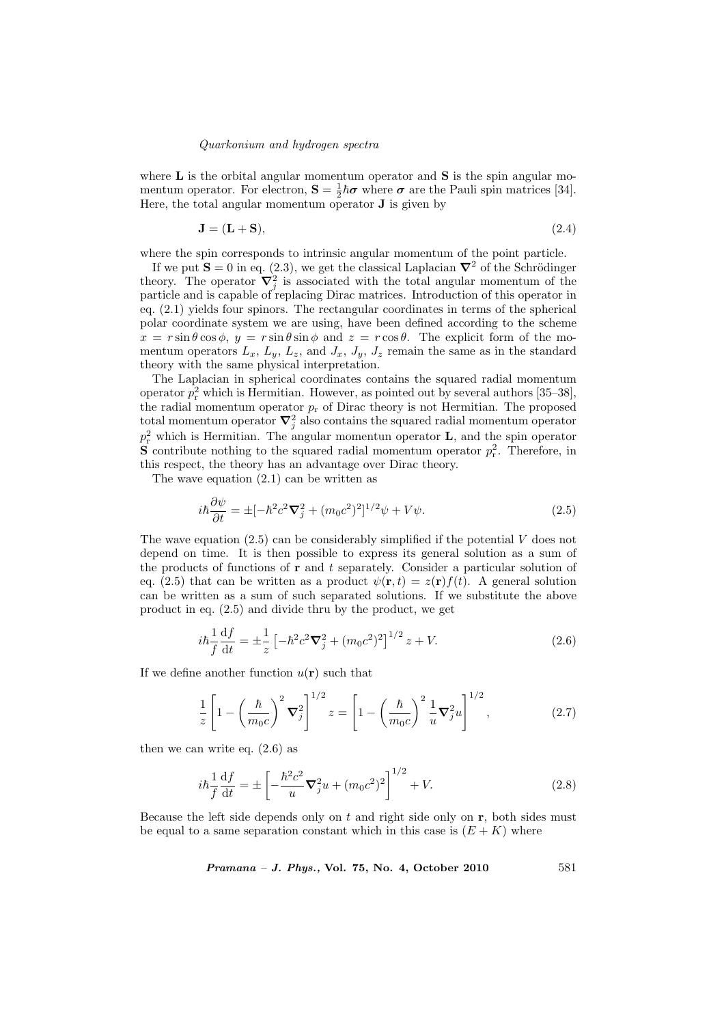where  $\bf{L}$  is the orbital angular momentum operator and  $\bf{S}$  is the spin angular momentum operator. For electron,  $S = \frac{1}{2}\hbar\sigma$  where  $\sigma$  are the Pauli spin matrices [34]. Here, the total angular momentum operator J is given by

$$
\mathbf{J} = (\mathbf{L} + \mathbf{S}),\tag{2.4}
$$

where the spin corresponds to intrinsic angular momentum of the point particle.

If we put  $S = 0$  in eq. (2.3), we get the classical Laplacian  $\nabla^2$  of the Schrödinger theory. The operator  $\nabla_j^2$  is associated with the total angular momentum of the particle and is capable of replacing Dirac matrices. Introduction of this operator in eq. (2.1) yields four spinors. The rectangular coordinates in terms of the spherical polar coordinate system we are using, have been defined according to the scheme  $x = r \sin \theta \cos \phi$ ,  $y = r \sin \theta \sin \phi$  and  $z = r \cos \theta$ . The explicit form of the momentum operators  $L_x$ ,  $L_y$ ,  $L_z$ , and  $J_x$ ,  $J_y$ ,  $J_z$  remain the same as in the standard theory with the same physical interpretation.

The Laplacian in spherical coordinates contains the squared radial momentum operator  $p_r^2$  which is Hermitian. However, as pointed out by several authors [35–38], the radial momentum operator  $p_r$  of Dirac theory is not Hermitian. The proposed total momentum operator  $\nabla_j^2$  also contains the squared radial momentum operator  $p<sub>r</sub><sup>2</sup>$  which is Hermitian. The angular momentun operator **L**, and the spin operator **S** contribute nothing to the squared radial momentum operator  $p_r^2$ . Therefore, in this respect, the theory has an advantage over Dirac theory.

The wave equation (2.1) can be written as

$$
i\hbar \frac{\partial \psi}{\partial t} = \pm [-\hbar^2 c^2 \nabla_j^2 + (m_0 c^2)^2]^{1/2} \psi + V \psi.
$$
 (2.5)

The wave equation  $(2.5)$  can be considerably simplified if the potential  $V$  does not depend on time. It is then possible to express its general solution as a sum of the products of functions of  $\bf{r}$  and  $t$  separately. Consider a particular solution of eq. (2.5) that can be written as a product  $\psi(\mathbf{r}, t) = z(\mathbf{r})f(t)$ . A general solution can be written as a sum of such separated solutions. If we substitute the above product in eq. (2.5) and divide thru by the product, we get

$$
i\hbar \frac{1}{f} \frac{df}{dt} = \pm \frac{1}{z} \left[ -\hbar^2 c^2 \nabla_j^2 + (m_0 c^2)^2 \right]^{1/2} z + V. \tag{2.6}
$$

If we define another function  $u(\mathbf{r})$  such that

$$
\frac{1}{z} \left[ 1 - \left( \frac{\hbar}{m_0 c} \right)^2 \nabla_j^2 \right]^{1/2} z = \left[ 1 - \left( \frac{\hbar}{m_0 c} \right)^2 \frac{1}{u} \nabla_j^2 u \right]^{1/2}, \tag{2.7}
$$

then we can write eq.  $(2.6)$  as

$$
i\hbar \frac{1}{f} \frac{df}{dt} = \pm \left[ -\frac{\hbar^2 c^2}{u} \nabla_j^2 u + (m_0 c^2)^2 \right]^{1/2} + V.
$$
 (2.8)

Because the left side depends only on  $t$  and right side only on  $r$ , both sides must be equal to a same separation constant which in this case is  $(E + K)$  where

Pramana – J. Phys., Vol. 75, No. 4, October 2010 581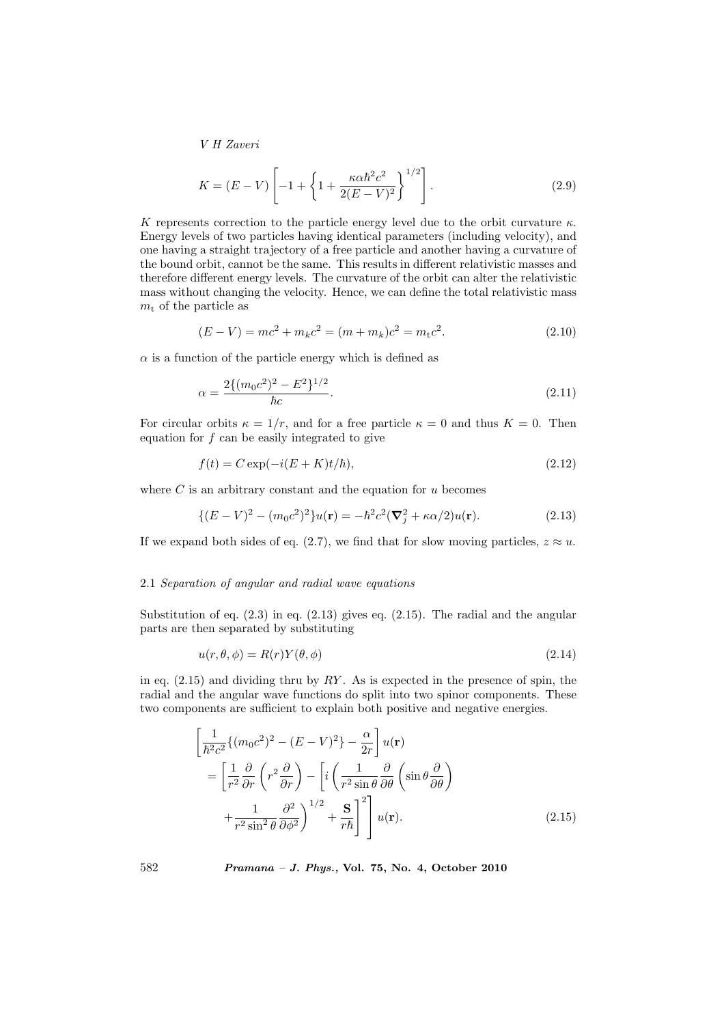$$
K = (E - V) \left[ -1 + \left\{ 1 + \frac{\kappa \alpha \hbar^2 c^2}{2(E - V)^2} \right\}^{1/2} \right].
$$
 (2.9)

K represents correction to the particle energy level due to the orbit curvature  $\kappa$ . Energy levels of two particles having identical parameters (including velocity), and one having a straight trajectory of a free particle and another having a curvature of the bound orbit, cannot be the same. This results in different relativistic masses and therefore different energy levels. The curvature of the orbit can alter the relativistic mass without changing the velocity. Hence, we can define the total relativistic mass  $m_t$  of the particle as

$$
(E - V) = mc2 + mkc2 = (m + mk)c2 = mtc2.
$$
 (2.10)

 $\alpha$  is a function of the particle energy which is defined as

$$
\alpha = \frac{2\{(m_0 c^2)^2 - E^2\}^{1/2}}{\hbar c}.
$$
\n(2.11)

For circular orbits  $\kappa = 1/r$ , and for a free particle  $\kappa = 0$  and thus  $K = 0$ . Then equation for  $f$  can be easily integrated to give

$$
f(t) = C \exp(-i(E + K)t/\hbar),\tag{2.12}
$$

where  $C$  is an arbitrary constant and the equation for  $u$  becomes

$$
\{(E-V)^2 - (m_0c^2)^2\}u(\mathbf{r}) = -\hbar^2c^2(\nabla_j^2 + \kappa\alpha/2)u(\mathbf{r}).
$$
\n(2.13)

If we expand both sides of eq. (2.7), we find that for slow moving particles,  $z \approx u$ .

# 2.1 Separation of angular and radial wave equations

Substitution of eq.  $(2.3)$  in eq.  $(2.13)$  gives eq.  $(2.15)$ . The radial and the angular parts are then separated by substituting

$$
u(r, \theta, \phi) = R(r)Y(\theta, \phi) \tag{2.14}
$$

in eq.  $(2.15)$  and dividing thru by RY. As is expected in the presence of spin, the radial and the angular wave functions do split into two spinor components. These two components are sufficient to explain both positive and negative energies.

$$
\left[\frac{1}{\hbar^2 c^2} \{ (m_0 c^2)^2 - (E - V)^2 \} - \frac{\alpha}{2r} \right] u(\mathbf{r})
$$
  
\n
$$
= \left[ \frac{1}{r^2} \frac{\partial}{\partial r} \left( r^2 \frac{\partial}{\partial r} \right) - \left[ i \left( \frac{1}{r^2 \sin \theta} \frac{\partial}{\partial \theta} \left( \sin \theta \frac{\partial}{\partial \theta} \right) \right) + \frac{1}{r^2 \sin^2 \theta} \frac{\partial^2}{\partial \phi^2} \right]^{1/2} + \frac{\mathbf{S}}{r \hbar} \right]^2 \right] u(\mathbf{r}).
$$
\n(2.15)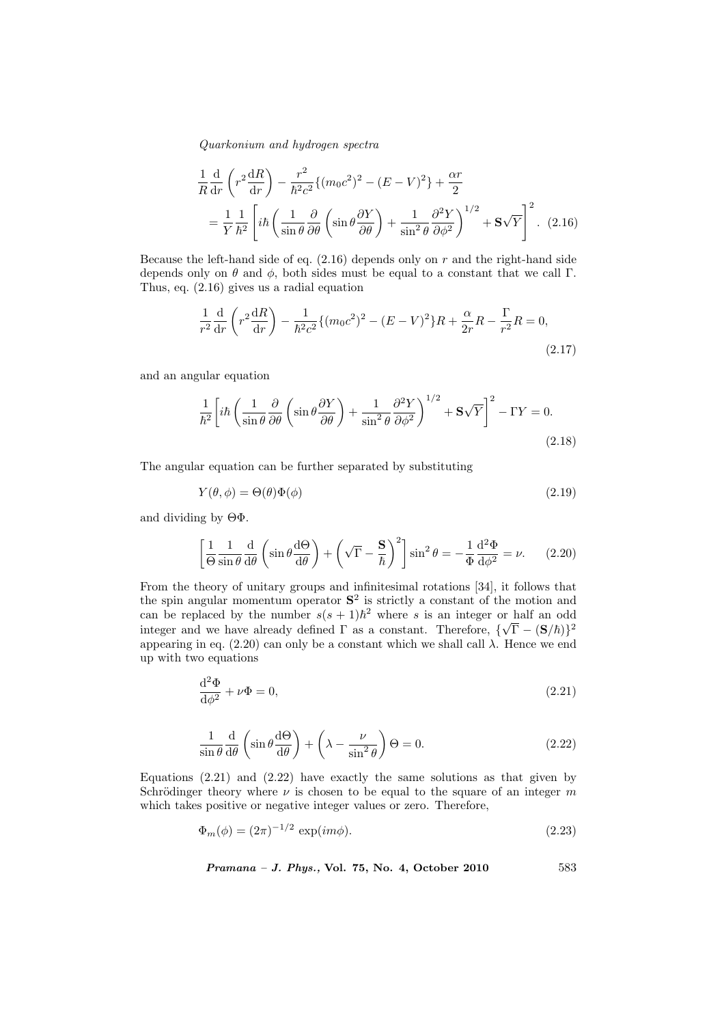$$
\frac{1}{R}\frac{d}{dr}\left(r^2\frac{dR}{dr}\right) - \frac{r^2}{\hbar^2c^2}\{(m_0c^2)^2 - (E-V)^2\} + \frac{\alpha r}{2}
$$
\n
$$
= \frac{1}{Y}\frac{1}{\hbar^2}\left[i\hbar\left(\frac{1}{\sin\theta}\frac{\partial}{\partial\theta}\left(\sin\theta\frac{\partial Y}{\partial\theta}\right) + \frac{1}{\sin^2\theta}\frac{\partial^2 Y}{\partial\phi^2}\right)^{1/2} + \mathbf{S}\sqrt{Y}\right]^2. \tag{2.16}
$$

Because the left-hand side of eq.  $(2.16)$  depends only on r and the right-hand side depends only on  $\theta$  and  $\phi$ , both sides must be equal to a constant that we call  $\Gamma$ . Thus, eq. (2.16) gives us a radial equation

$$
\frac{1}{r^2}\frac{d}{dr}\left(r^2\frac{dR}{dr}\right) - \frac{1}{\hbar^2c^2}\{(m_0c^2)^2 - (E-V)^2\}R + \frac{\alpha}{2r}R - \frac{\Gamma}{r^2}R = 0,
$$
\n(2.17)

and an angular equation

$$
\frac{1}{\hbar^2} \left[ i\hbar \left( \frac{1}{\sin \theta} \frac{\partial}{\partial \theta} \left( \sin \theta \frac{\partial Y}{\partial \theta} \right) + \frac{1}{\sin^2 \theta} \frac{\partial^2 Y}{\partial \phi^2} \right)^{1/2} + \mathbf{S} \sqrt{Y} \right]^2 - \Gamma Y = 0. \tag{2.18}
$$

The angular equation can be further separated by substituting

$$
Y(\theta, \phi) = \Theta(\theta)\Phi(\phi) \tag{2.19}
$$

and dividing by ΘΦ.

$$
\left[\frac{1}{\Theta} \frac{1}{\sin \theta} \frac{d}{d\theta} \left(\sin \theta \frac{d\Theta}{d\theta}\right) + \left(\sqrt{\Gamma} - \frac{\mathbf{S}}{\hbar}\right)^2\right] \sin^2 \theta = -\frac{1}{\Phi} \frac{d^2 \Phi}{d\phi^2} = \nu. \tag{2.20}
$$

From the theory of unitary groups and infinitesimal rotations [34], it follows that the spin angular momentum operator  $S^2$  is strictly a constant of the motion and can be replaced by the number  $s(s+1)\hbar^2$  where s is an integer or half an odd integer and we have already defined  $\Gamma$  as a constant. Therefore,  $\{\sqrt{\Gamma} - (\mathbf{S}/\hbar)\}^2$ appearing in eq. (2.20) can only be a constant which we shall call  $\lambda$ . Hence we end up with two equations

$$
\frac{\mathrm{d}^2 \Phi}{\mathrm{d}\phi^2} + \nu \Phi = 0,\tag{2.21}
$$

$$
\frac{1}{\sin \theta} \frac{d}{d\theta} \left( \sin \theta \frac{d\Theta}{d\theta} \right) + \left( \lambda - \frac{\nu}{\sin^2 \theta} \right) \Theta = 0.
$$
 (2.22)

Equations  $(2.21)$  and  $(2.22)$  have exactly the same solutions as that given by Schrödinger theory where  $\nu$  is chosen to be equal to the square of an integer m which takes positive or negative integer values or zero. Therefore,

$$
\Phi_m(\phi) = (2\pi)^{-1/2} \exp(im\phi). \tag{2.23}
$$

Pramana – J. Phys., Vol. 75, No. 4, October 2010 583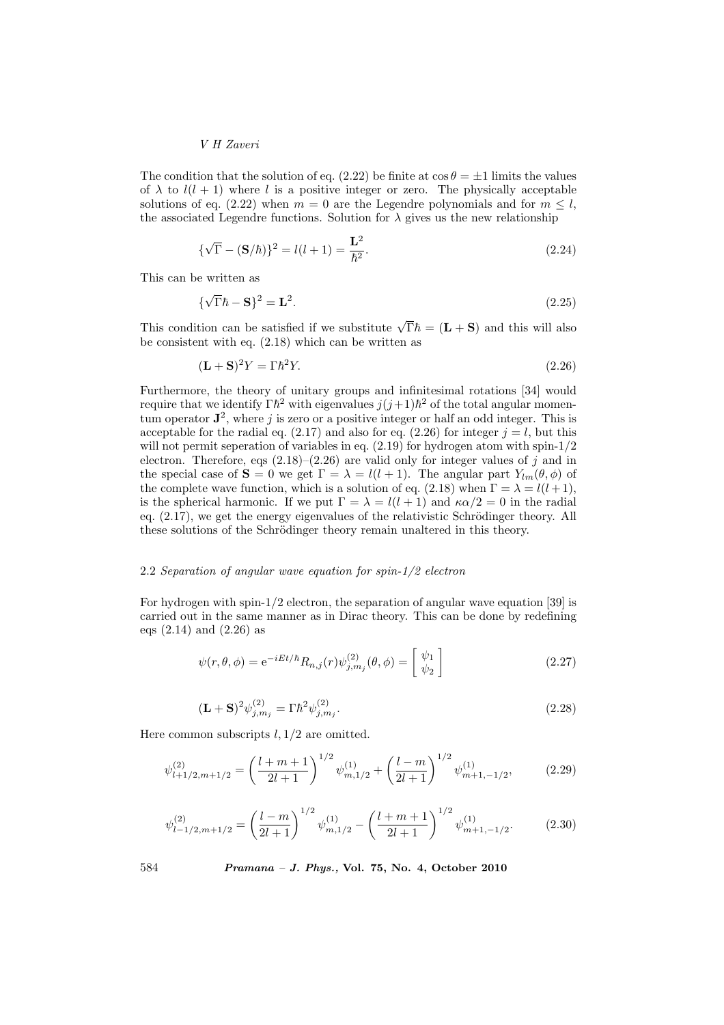The condition that the solution of eq. (2.22) be finite at  $\cos \theta = \pm 1$  limits the values of  $\lambda$  to  $l(l + 1)$  where l is a positive integer or zero. The physically acceptable solutions of eq. (2.22) when  $m = 0$  are the Legendre polynomials and for  $m \leq l$ , the associated Legendre functions. Solution for  $\lambda$  gives us the new relationship

$$
\{\sqrt{\Gamma} - (\mathbf{S}/\hbar)\}^2 = l(l+1) = \frac{\mathbf{L}^2}{\hbar^2}.
$$
\n(2.24)

This can be written as

$$
\{\sqrt{\Gamma}\hbar - \mathbf{S}\}^2 = \mathbf{L}^2. \tag{2.25}
$$

This condition can be satisfied if we substitute  $\sqrt{\Gamma}\hbar = (\mathbf{L} + \mathbf{S})$  and this will also be consistent with eq. (2.18) which can be written as

$$
(\mathbf{L} + \mathbf{S})^2 Y = \Gamma \hbar^2 Y. \tag{2.26}
$$

Furthermore, the theory of unitary groups and infinitesimal rotations [34] would require that we identify  $\Gamma \hbar^2$  with eigenvalues  $j(j+1)\hbar^2$  of the total angular momentum operator  $J^2$ , where j is zero or a positive integer or half an odd integer. This is acceptable for the radial eq. (2.17) and also for eq. (2.26) for integer  $j = l$ , but this will not permit seperation of variables in eq.  $(2.19)$  for hydrogen atom with spin- $1/2$ electron. Therefore, eqs  $(2.18)$ – $(2.26)$  are valid only for integer values of j and in the special case of  $S = 0$  we get  $\Gamma = \lambda = l(l + 1)$ . The angular part  $Y_{lm}(\theta, \phi)$  of the complete wave function, which is a solution of eq. (2.18) when  $\Gamma = \lambda = l(l+1)$ , is the spherical harmonic. If we put  $\Gamma = \lambda = l(l+1)$  and  $\kappa \alpha/2 = 0$  in the radial eq.  $(2.17)$ , we get the energy eigenvalues of the relativistic Schrödinger theory. All these solutions of the Schrödinger theory remain unaltered in this theory.

## 2.2 Separation of angular wave equation for spin-1/2 electron

For hydrogen with spin-1/2 electron, the separation of angular wave equation [39] is carried out in the same manner as in Dirac theory. This can be done by redefining eqs (2.14) and (2.26) as

$$
\psi(r,\theta,\phi) = e^{-iEt/\hbar} R_{n,j}(r) \psi_{j,m_j}^{(2)}(\theta,\phi) = \begin{bmatrix} \psi_1 \\ \psi_2 \end{bmatrix}
$$
\n(2.27)

$$
(\mathbf{L} + \mathbf{S})^2 \psi_{j,m_j}^{(2)} = \Gamma \hbar^2 \psi_{j,m_j}^{(2)}.
$$
\n(2.28)

Here common subscripts  $l, 1/2$  are omitted.

$$
\psi_{l+1/2,m+1/2}^{(2)} = \left(\frac{l+m+1}{2l+1}\right)^{1/2} \psi_{m,1/2}^{(1)} + \left(\frac{l-m}{2l+1}\right)^{1/2} \psi_{m+1,-1/2}^{(1)},\tag{2.29}
$$

$$
\psi_{l-1/2,m+1/2}^{(2)} = \left(\frac{l-m}{2l+1}\right)^{1/2} \psi_{m,1/2}^{(1)} - \left(\frac{l+m+1}{2l+1}\right)^{1/2} \psi_{m+1,-1/2}^{(1)}.\tag{2.30}
$$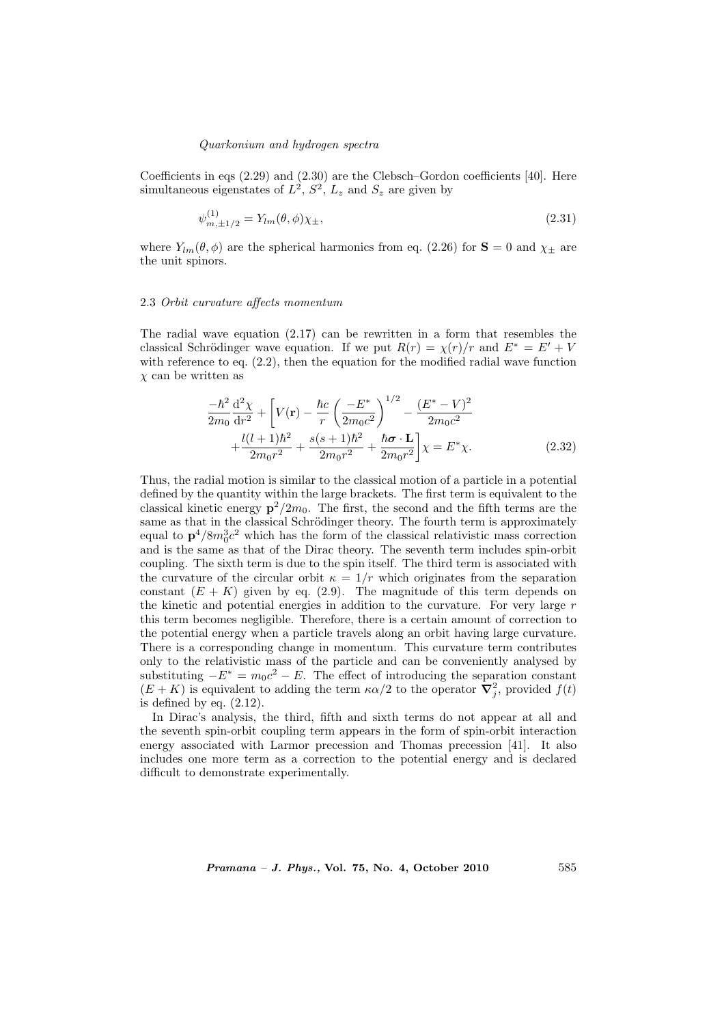Coefficients in eqs (2.29) and (2.30) are the Clebsch–Gordon coefficients [40]. Here simultaneous eigenstates of  $L^2$ ,  $S^2$ ,  $L_z$  and  $S_z$  are given by

$$
\psi_{m,\pm 1/2}^{(1)} = Y_{lm}(\theta,\phi)\chi_{\pm},\tag{2.31}
$$

where  $Y_{lm}(\theta, \phi)$  are the spherical harmonics from eq. (2.26) for  $S = 0$  and  $\chi_{\pm}$  are the unit spinors.

# 2.3 Orbit curvature affects momentum

The radial wave equation  $(2.17)$  can be rewritten in a form that resembles the classical Schrödinger wave equation. If we put  $R(r) = \chi(r)/r$  and  $E^* = E' + V$ with reference to eq. (2.2), then the equation for the modified radial wave function  $\chi$  can be written as

$$
\frac{-\hbar^2}{2m_0} \frac{\mathrm{d}^2 \chi}{\mathrm{d}r^2} + \left[ V(\mathbf{r}) - \frac{\hbar c}{r} \left( \frac{-E^*}{2m_0 c^2} \right)^{1/2} - \frac{(E^* - V)^2}{2m_0 c^2} + \frac{l(l+1)\hbar^2}{2m_0 r^2} + \frac{s(s+1)\hbar^2}{2m_0 r^2} + \frac{\hbar \sigma \cdot \mathbf{L}}{2m_0 r^2} \right] \chi = E^* \chi.
$$
\n(2.32)

Thus, the radial motion is similar to the classical motion of a particle in a potential defined by the quantity within the large brackets. The first term is equivalent to the classical kinetic energy  $p^2/2m_0$ . The first, the second and the fifth terms are the same as that in the classical Schrödinger theory. The fourth term is approximately equal to  $\mathbf{p}^4/8m_0^3c^2$  which has the form of the classical relativistic mass correction and is the same as that of the Dirac theory. The seventh term includes spin-orbit coupling. The sixth term is due to the spin itself. The third term is associated with the curvature of the circular orbit  $\kappa = 1/r$  which originates from the separation constant  $(E + K)$  given by eq. (2.9). The magnitude of this term depends on the kinetic and potential energies in addition to the curvature. For very large  $r$ this term becomes negligible. Therefore, there is a certain amount of correction to the potential energy when a particle travels along an orbit having large curvature. There is a corresponding change in momentum. This curvature term contributes only to the relativistic mass of the particle and can be conveniently analysed by substituting  $-E^* = m_0c^2 - E$ . The effect of introducing the separation constant  $(E+K)$  is equivalent to adding the term  $\kappa \alpha/2$  to the operator  $\mathbf{\nabla}^2_j$ , provided  $f(t)$ is defined by eq. (2.12).

In Dirac's analysis, the third, fifth and sixth terms do not appear at all and the seventh spin-orbit coupling term appears in the form of spin-orbit interaction energy associated with Larmor precession and Thomas precession [41]. It also includes one more term as a correction to the potential energy and is declared difficult to demonstrate experimentally.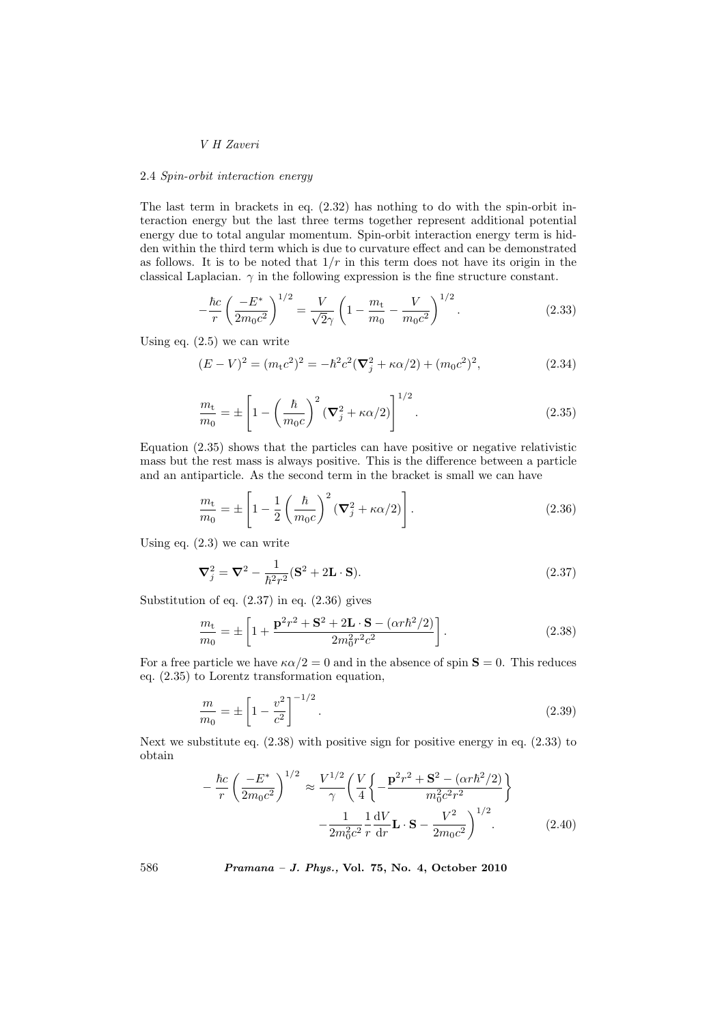#### 2.4 Spin-orbit interaction energy

The last term in brackets in eq. (2.32) has nothing to do with the spin-orbit interaction energy but the last three terms together represent additional potential energy due to total angular momentum. Spin-orbit interaction energy term is hidden within the third term which is due to curvature effect and can be demonstrated as follows. It is to be noted that  $1/r$  in this term does not have its origin in the classical Laplacian.  $\gamma$  in the following expression is the fine structure constant.

$$
-\frac{\hbar c}{r} \left(\frac{-E^*}{2m_0 c^2}\right)^{1/2} = \frac{V}{\sqrt{2}\gamma} \left(1 - \frac{m_\text{t}}{m_0} - \frac{V}{m_0 c^2}\right)^{1/2}.
$$
 (2.33)

Using eq. (2.5) we can write

−

$$
(E - V)^2 = (m_t c^2)^2 = -\hbar^2 c^2 (\nabla_j^2 + \kappa \alpha/2) + (m_0 c^2)^2,
$$
\n(2.34)

$$
\frac{m_{\rm t}}{m_0} = \pm \left[ 1 - \left( \frac{\hbar}{m_0 c} \right)^2 (\nabla_j^2 + \kappa \alpha/2) \right]^{1/2} . \tag{2.35}
$$

Equation  $(2.35)$  shows that the particles can have positive or negative relativistic mass but the rest mass is always positive. This is the difference between a particle and an antiparticle. As the second term in the bracket is small we can have

$$
\frac{m_{\rm t}}{m_0} = \pm \left[ 1 - \frac{1}{2} \left( \frac{\hbar}{m_0 c} \right)^2 (\nabla_j^2 + \kappa \alpha/2) \right]. \tag{2.36}
$$

Using eq.  $(2.3)$  we can write

$$
\nabla_j^2 = \nabla^2 - \frac{1}{\hbar^2 r^2} (\mathbf{S}^2 + 2\mathbf{L} \cdot \mathbf{S}).
$$
\n(2.37)

Substitution of eq. (2.37) in eq. (2.36) gives

$$
\frac{m_{\rm t}}{m_0} = \pm \left[ 1 + \frac{\mathbf{p}^2 r^2 + \mathbf{S}^2 + 2\mathbf{L} \cdot \mathbf{S} - (\alpha r \hbar^2 / 2)}{2m_0^2 r^2 c^2} \right].
$$
\n(2.38)

For a free particle we have  $\kappa \alpha/2 = 0$  and in the absence of spin  $S = 0$ . This reduces eq. (2.35) to Lorentz transformation equation,

$$
\frac{m}{m_0} = \pm \left[ 1 - \frac{v^2}{c^2} \right]^{-1/2}.
$$
\n(2.39)

Next we substitute eq. (2.38) with positive sign for positive energy in eq. (2.33) to obtain

$$
-\frac{\hbar c}{r} \left(\frac{-E^*}{2m_0c^2}\right)^{1/2} \approx \frac{V^{1/2}}{\gamma} \left(\frac{V}{4} \left\{-\frac{\mathbf{p}^2r^2 + \mathbf{S}^2 - (\alpha r\hbar^2/2)}{m_0^2c^2r^2}\right\}\right) -\frac{1}{2m_0^2c^2}\frac{1}{r}\frac{dV}{dr}\mathbf{L} \cdot \mathbf{S} - \frac{V^2}{2m_0c^2}\right)^{1/2}.
$$
 (2.40)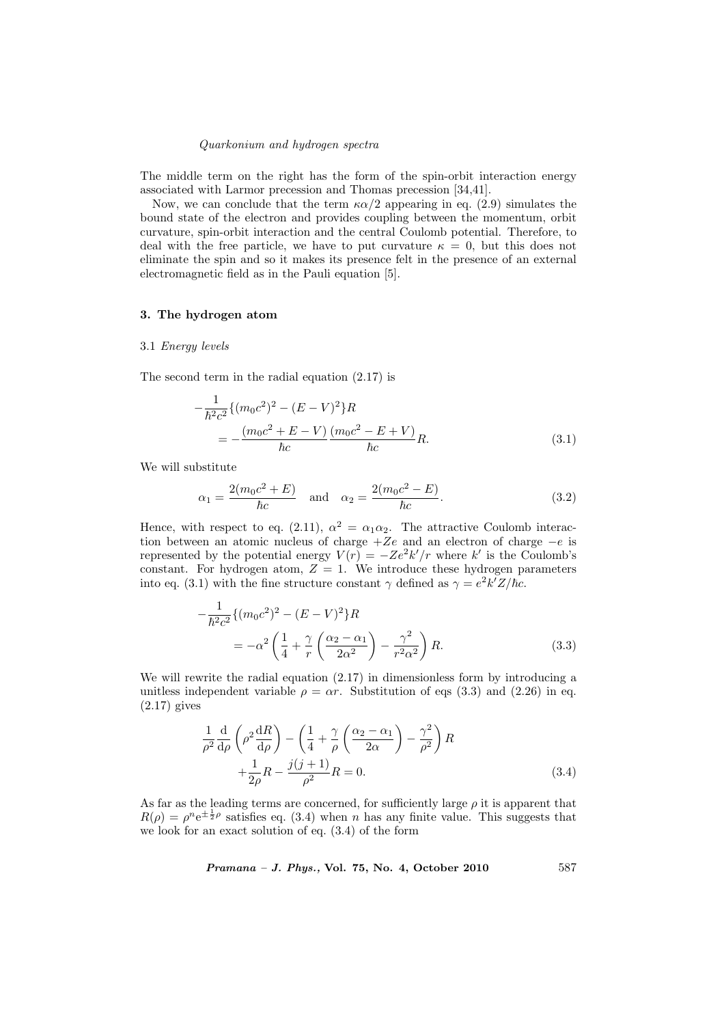The middle term on the right has the form of the spin-orbit interaction energy associated with Larmor precession and Thomas precession [34,41].

Now, we can conclude that the term  $\kappa \alpha/2$  appearing in eq. (2.9) simulates the bound state of the electron and provides coupling between the momentum, orbit curvature, spin-orbit interaction and the central Coulomb potential. Therefore, to deal with the free particle, we have to put curvature  $\kappa = 0$ , but this does not eliminate the spin and so it makes its presence felt in the presence of an external electromagnetic field as in the Pauli equation [5].

# 3. The hydrogen atom

#### 3.1 Energy levels

The second term in the radial equation (2.17) is

$$
-\frac{1}{\hbar^2 c^2} \{ (m_0 c^2)^2 - (E - V)^2 \} R
$$
  
= 
$$
-\frac{(m_0 c^2 + E - V)}{\hbar c} \frac{(m_0 c^2 - E + V)}{\hbar c} R.
$$
 (3.1)

We will substitute

$$
\alpha_1 = \frac{2(m_0c^2 + E)}{\hbar c}
$$
 and  $\alpha_2 = \frac{2(m_0c^2 - E)}{\hbar c}$ . (3.2)

Hence, with respect to eq. (2.11),  $\alpha^2 = \alpha_1 \alpha_2$ . The attractive Coulomb interaction between an atomic nucleus of charge +Ze and an electron of charge  $-e$  is represented by the potential energy  $V(r) = -Ze^2k'/r$  where k' is the Coulomb's constant. For hydrogen atom,  $Z = 1$ . We introduce these hydrogen parameters into eq. (3.1) with the fine structure constant  $\gamma$  defined as  $\gamma = e^2 k' Z/\hbar c$ .

$$
-\frac{1}{\hbar^2 c^2} \{ (m_0 c^2)^2 - (E - V)^2 \} R
$$
  
= -\alpha^2 \left( \frac{1}{4} + \frac{\gamma}{r} \left( \frac{\alpha\_2 - \alpha\_1}{2\alpha^2} \right) - \frac{\gamma^2}{r^2 \alpha^2} \right) R. \tag{3.3}

We will rewrite the radial equation (2.17) in dimensionless form by introducing a unitless independent variable  $\rho = \alpha r$ . Substitution of eqs (3.3) and (2.26) in eq. (2.17) gives

$$
\frac{1}{\rho^2} \frac{d}{d\rho} \left( \rho^2 \frac{dR}{d\rho} \right) - \left( \frac{1}{4} + \frac{\gamma}{\rho} \left( \frac{\alpha_2 - \alpha_1}{2\alpha} \right) - \frac{\gamma^2}{\rho^2} \right) R \n+ \frac{1}{2\rho} R - \frac{j(j+1)}{\rho^2} R = 0.
$$
\n(3.4)

As far as the leading terms are concerned, for sufficiently large  $\rho$  it is apparent that  $R(\rho) = \rho^n e^{\pm \frac{1}{2}\rho}$  satisfies eq. (3.4) when *n* has any finite value. This suggests that we look for an exact solution of eq. (3.4) of the form

Pramana – J. Phys., Vol. 75, No. 4, October 2010 587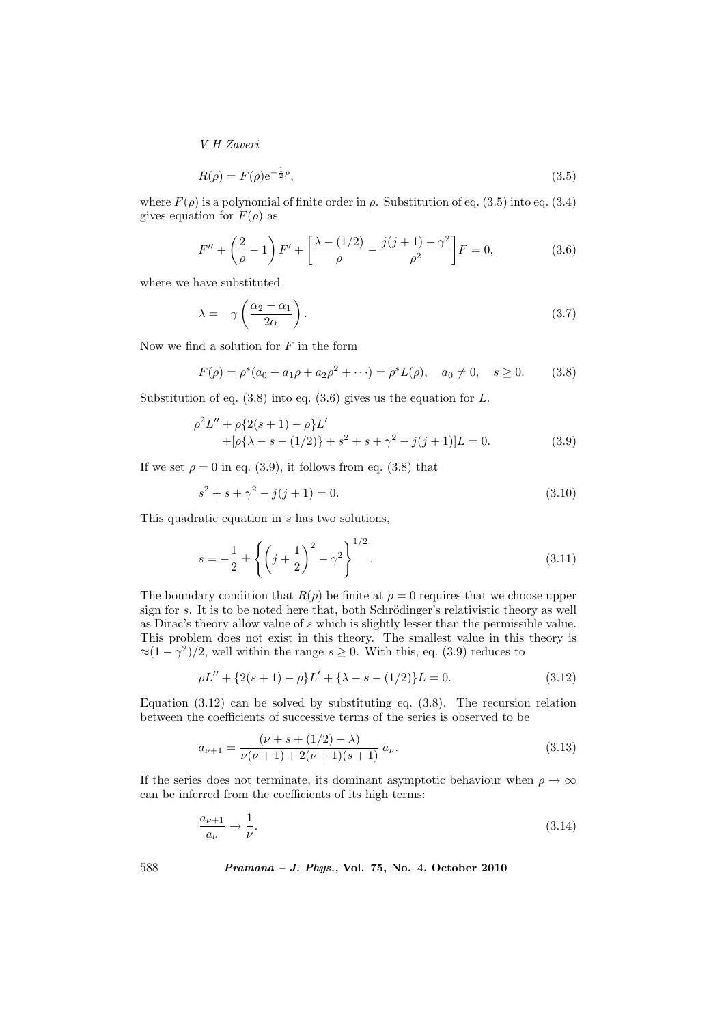$$
R(\rho) = F(\rho) \mathrm{e}^{-\frac{1}{2}\rho},\tag{3.5}
$$

where  $F(\rho)$  is a polynomial of finite order in  $\rho$ . Substitution of eq. (3.5) into eq. (3.4) gives equation for  $F(\rho)$  as

$$
F'' + \left(\frac{2}{\rho} - 1\right)F' + \left[\frac{\lambda - (1/2)}{\rho} - \frac{j(j+1) - \gamma^2}{\rho^2}\right]F = 0,
$$
\n(3.6)

where we have substituted

$$
\lambda = -\gamma \left( \frac{\alpha_2 - \alpha_1}{2\alpha} \right). \tag{3.7}
$$

Now we find a solution for  $F$  in the form

$$
F(\rho) = \rho^s (a_0 + a_1 \rho + a_2 \rho^2 + \cdots) = \rho^s L(\rho), \quad a_0 \neq 0, \quad s \ge 0.
$$
 (3.8)

Substitution of eq.  $(3.8)$  into eq.  $(3.6)$  gives us the equation for L.

$$
\rho^2 L'' + \rho \{ 2(s+1) - \rho \} L'+ [\rho \{\lambda - s - (1/2)\} + s^2 + s + \gamma^2 - j(j+1)]L = 0.
$$
 (3.9)

If we set  $\rho = 0$  in eq. (3.9), it follows from eq. (3.8) that

$$
s^2 + s + \gamma^2 - j(j+1) = 0. \tag{3.10}
$$

This quadratic equation in s has two solutions,

$$
s = -\frac{1}{2} \pm \left\{ \left( j + \frac{1}{2} \right)^2 - \gamma^2 \right\}^{1/2}.
$$
 (3.11)

The boundary condition that  $R(\rho)$  be finite at  $\rho = 0$  requires that we choose upper sign for  $s$ . It is to be noted here that, both Schrödinger's relativistic theory as well as Dirac's theory allow value of s which is slightly lesser than the permissible value. This problem does not exist in this theory. The smallest value in this theory is  $\approx (1 - \gamma^2)/2$ , well within the range  $s \geq 0$ . With this, eq. (3.9) reduces to

$$
\rho L'' + \{2(s+1) - \rho\}L' + \{\lambda - s - (1/2)\}L = 0.
$$
\n(3.12)

Equation  $(3.12)$  can be solved by substituting eq.  $(3.8)$ . The recursion relation between the coefficients of successive terms of the series is observed to be

$$
a_{\nu+1} = \frac{(\nu + s + (1/2) - \lambda)}{\nu(\nu + 1) + 2(\nu + 1)(s + 1)} a_{\nu}.
$$
\n(3.13)

If the series does not terminate, its dominant asymptotic behaviour when  $\rho \to \infty$ can be inferred from the coefficients of its high terms:

$$
\frac{a_{\nu+1}}{a_{\nu}} \to \frac{1}{\nu}.\tag{3.14}
$$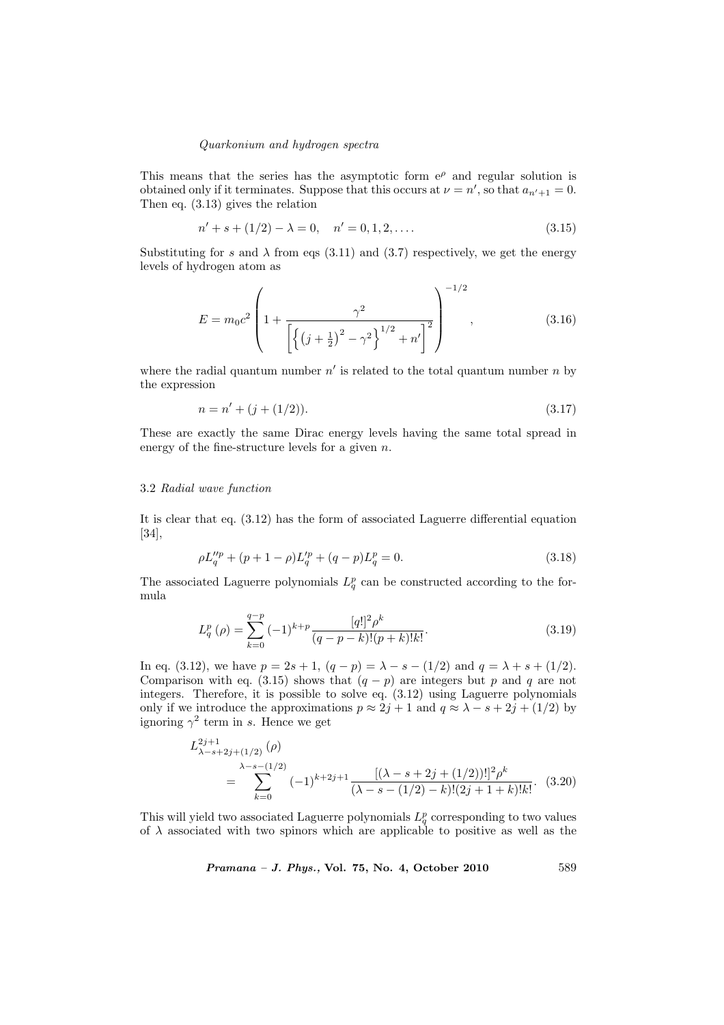This means that the series has the asymptotic form  $e^{\rho}$  and regular solution is obtained only if it terminates. Suppose that this occurs at  $\nu = n'$ , so that  $a_{n'+1} = 0$ . Then eq. (3.13) gives the relation

$$
n' + s + (1/2) - \lambda = 0, \quad n' = 0, 1, 2, \dots
$$
\n(3.15)

Substituting for s and  $\lambda$  from eqs (3.11) and (3.7) respectively, we get the energy levels of hydrogen atom as

$$
E = m_0 c^2 \left( 1 + \frac{\gamma^2}{\left[ \left\{ \left( j + \frac{1}{2} \right)^2 - \gamma^2 \right\}^{1/2} + n' \right]^2} \right)^{-1/2},
$$
\n(3.16)

where the radial quantum number  $n'$  is related to the total quantum number n by the expression

$$
n = n' + (j + (1/2)).
$$
\n(3.17)

These are exactly the same Dirac energy levels having the same total spread in energy of the fine-structure levels for a given  $n$ .

#### 3.2 Radial wave function

It is clear that eq. (3.12) has the form of associated Laguerre differential equation [34],

$$
\rho L_q^{\prime \prime p} + (p+1-\rho)L_q^{\prime p} + (q-p)L_q^p = 0. \tag{3.18}
$$

The associated Laguerre polynomials  $L_q^p$  can be constructed according to the formula

$$
L_q^p(\rho) = \sum_{k=0}^{q-p} (-1)^{k+p} \frac{[q!]^2 \rho^k}{(q-p-k)!(p+k)!k!}.
$$
\n(3.19)

In eq. (3.12), we have  $p = 2s + 1$ ,  $(q - p) = \lambda - s - (1/2)$  and  $q = \lambda + s + (1/2)$ . Comparison with eq. (3.15) shows that  $(q - p)$  are integers but p and q are not integers. Therefore, it is possible to solve eq. (3.12) using Laguerre polynomials only if we introduce the approximations  $p \approx 2j + 1$  and  $q \approx \lambda - s + 2j + (1/2)$  by ignoring  $\gamma^2$  term in s. Hence we get

$$
L_{\lambda-s+2j+(1/2)}^{2j+1}(\rho)
$$
  
= 
$$
\sum_{k=0}^{\lambda-s-(1/2)} (-1)^{k+2j+1} \frac{[(\lambda-s+2j+(1/2))!]^2 \rho^k}{(\lambda-s-(1/2)-k)!(2j+1+k)!k!}
$$
 (3.20)

This will yield two associated Laguerre polynomials  $L_q^p$  corresponding to two values of  $\lambda$  associated with two spinors which are applicable to positive as well as the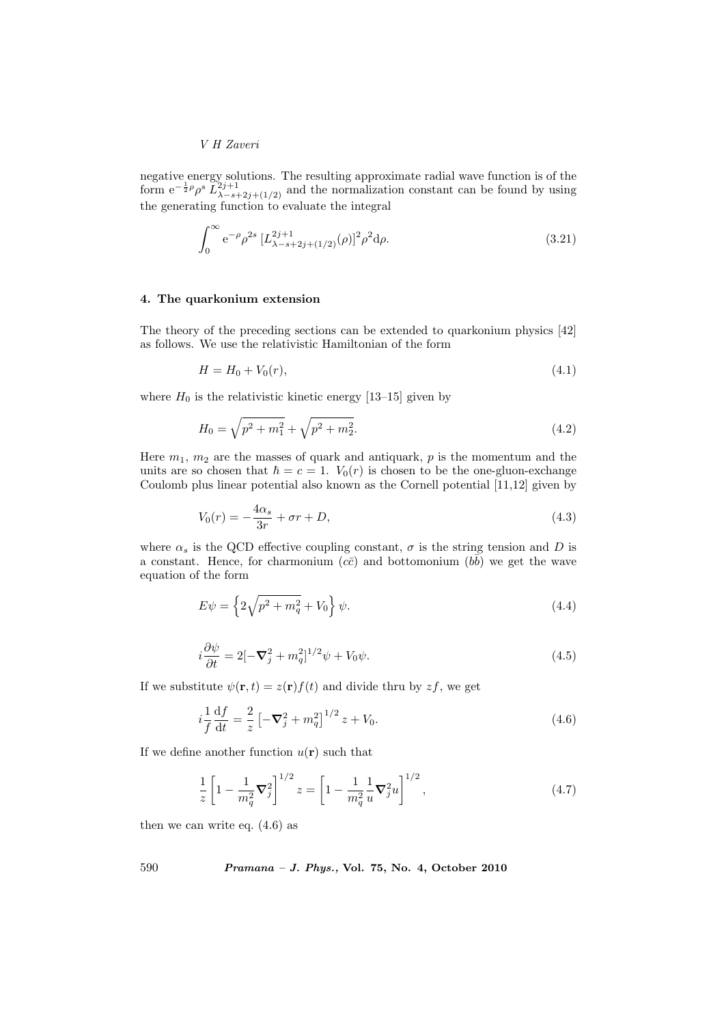negative energy solutions. The resulting approximate radial wave function is of the form  $e^{-\frac{1}{2}\rho} \rho^s \tilde{L}_{\lambda-s+2j+(1/2)}^{2j+1}$  and the normalization constant can be found by using the generating function to evaluate the integral

$$
\int_0^\infty e^{-\rho} \rho^{2s} \left[ L_{\lambda-s+2j+(1/2)}^{2j+1}(\rho) \right]^2 \rho^2 d\rho. \tag{3.21}
$$

# 4. The quarkonium extension

The theory of the preceding sections can be extended to quarkonium physics [42] as follows. We use the relativistic Hamiltonian of the form

$$
H = H_0 + V_0(r),
$$
\n(4.1)

where  $H_0$  is the relativistic kinetic energy [13–15] given by

$$
H_0 = \sqrt{p^2 + m_1^2} + \sqrt{p^2 + m_2^2}.
$$
\n(4.2)

Here  $m_1$ ,  $m_2$  are the masses of quark and antiquark, p is the momentum and the units are so chosen that  $\hbar = c = 1$ .  $V_0(r)$  is chosen to be the one-gluon-exchange Coulomb plus linear potential also known as the Cornell potential [11,12] given by

$$
V_0(r) = -\frac{4\alpha_s}{3r} + \sigma r + D,\tag{4.3}
$$

where  $\alpha_s$  is the QCD effective coupling constant,  $\sigma$  is the string tension and D is a constant. Hence, for charmonium  $(c\bar{c})$  and bottomonium  $(b\bar{b})$  we get the wave equation of the form

$$
E\psi = \left\{2\sqrt{p^2 + m_q^2} + V_0\right\}\psi.
$$
\n(4.4)

$$
i\frac{\partial\psi}{\partial t} = 2[-\nabla_j^2 + m_q^2]^{1/2}\psi + V_0\psi.
$$
\n(4.5)

If we substitute  $\psi(\mathbf{r},t) = z(\mathbf{r})f(t)$  and divide thru by  $zf$ , we get

$$
i\frac{1}{f}\frac{\mathrm{d}f}{\mathrm{d}t} = \frac{2}{z}\left[-\nabla_j^2 + m_q^2\right]^{1/2}z + V_0.
$$
\n(4.6)

If we define another function  $u(\mathbf{r})$  such that

$$
\frac{1}{z} \left[ 1 - \frac{1}{m_q^2} \nabla_j^2 \right]^{1/2} z = \left[ 1 - \frac{1}{m_q^2} \frac{1}{u} \nabla_j^2 u \right]^{1/2},\tag{4.7}
$$

then we can write eq. (4.6) as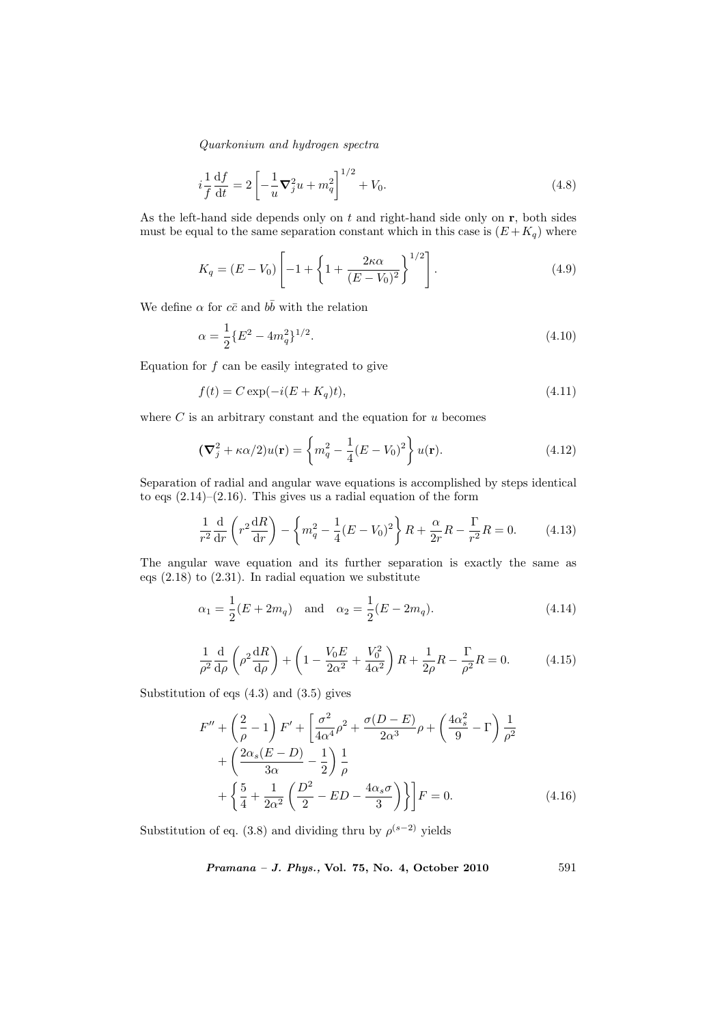$$
i\frac{1}{f}\frac{\mathrm{d}f}{\mathrm{d}t} = 2\left[-\frac{1}{u}\nabla_j^2 u + m_q^2\right]^{1/2} + V_0.
$$
\n(4.8)

As the left-hand side depends only on  $t$  and right-hand side only on  $r$ , both sides must be equal to the same separation constant which in this case is  $(E + K_q)$  where

$$
K_q = (E - V_0) \left[ -1 + \left\{ 1 + \frac{2\kappa\alpha}{(E - V_0)^2} \right\}^{1/2} \right].
$$
 (4.9)

We define  $\alpha$  for  $c\bar{c}$  and  $b\bar{b}$  with the relation

$$
\alpha = \frac{1}{2} \{ E^2 - 4m_q^2 \}^{1/2}.
$$
\n(4.10)

Equation for  $f$  can be easily integrated to give

$$
f(t) = C \exp(-i(E + K_q)t),\tag{4.11}
$$

where  $C$  is an arbitrary constant and the equation for  $u$  becomes

$$
\left(\nabla_j^2 + \kappa \alpha/2\right)u(\mathbf{r}) = \left\{m_q^2 - \frac{1}{4}(E - V_0)^2\right\}u(\mathbf{r}).\tag{4.12}
$$

Separation of radial and angular wave equations is accomplished by steps identical to eqs  $(2.14)$ – $(2.16)$ . This gives us a radial equation of the form

$$
\frac{1}{r^2}\frac{d}{dr}\left(r^2\frac{dR}{dr}\right) - \left\{m_q^2 - \frac{1}{4}(E - V_0)^2\right\}R + \frac{\alpha}{2r}R - \frac{\Gamma}{r^2}R = 0.
$$
 (4.13)

The angular wave equation and its further separation is exactly the same as eqs  $(2.18)$  to  $(2.31)$ . In radial equation we substitute

$$
\alpha_1 = \frac{1}{2}(E + 2m_q)
$$
 and  $\alpha_2 = \frac{1}{2}(E - 2m_q).$  (4.14)

$$
\frac{1}{\rho^2} \frac{d}{d\rho} \left( \rho^2 \frac{dR}{d\rho} \right) + \left( 1 - \frac{V_0 E}{2\alpha^2} + \frac{V_0^2}{4\alpha^2} \right) R + \frac{1}{2\rho} R - \frac{\Gamma}{\rho^2} R = 0.
$$
 (4.15)

Substitution of eqs (4.3) and (3.5) gives

$$
F'' + \left(\frac{2}{\rho} - 1\right) F' + \left[\frac{\sigma^2}{4\alpha^4} \rho^2 + \frac{\sigma(D - E)}{2\alpha^3} \rho + \left(\frac{4\alpha_s^2}{9} - \Gamma\right) \frac{1}{\rho^2} + \left(\frac{2\alpha_s (E - D)}{3\alpha} - \frac{1}{2}\right) \frac{1}{\rho} + \left\{\frac{5}{4} + \frac{1}{2\alpha^2} \left(\frac{D^2}{2} - ED - \frac{4\alpha_s \sigma}{3}\right)\right\} \Big| F = 0.
$$
 (4.16)

Substitution of eq. (3.8) and dividing thru by  $\rho^{(s-2)}$  yields

Pramana – J. Phys., Vol. 75, No. 4, October 2010 591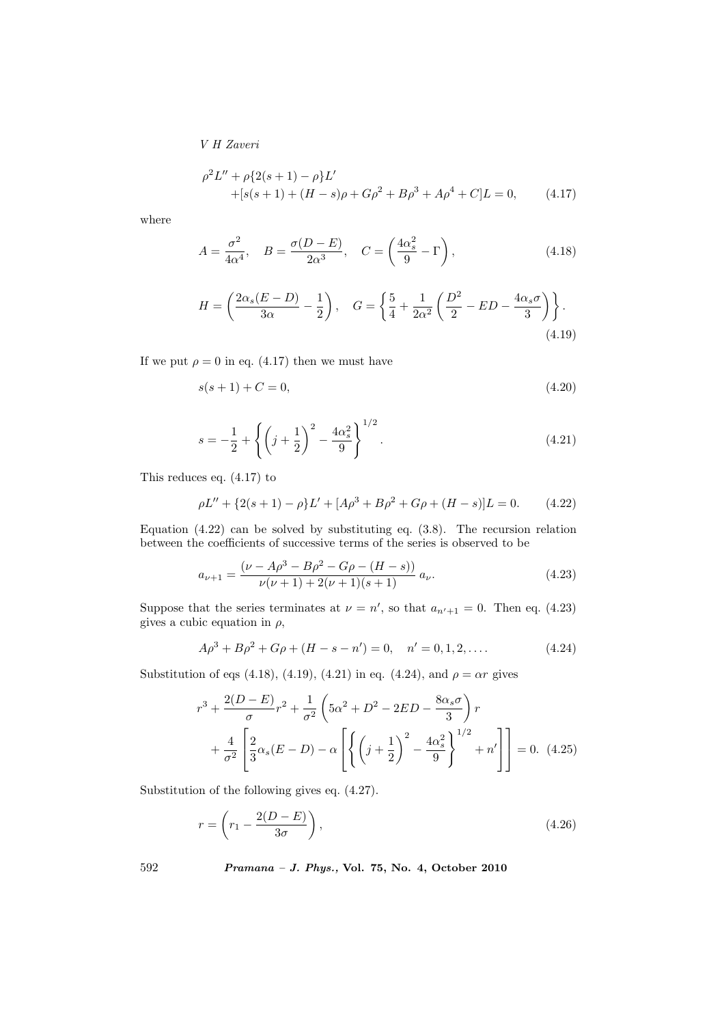$$
\rho^2 L'' + \rho \{ 2(s+1) - \rho \} L'+ [s(s+1) + (H-s)\rho + G\rho^2 + B\rho^3 + A\rho^4 + C]L = 0, \qquad (4.17)
$$

where

$$
A = \frac{\sigma^2}{4\alpha^4}, \quad B = \frac{\sigma(D - E)}{2\alpha^3}, \quad C = \left(\frac{4\alpha_s^2}{9} - \Gamma\right),\tag{4.18}
$$

$$
H = \left(\frac{2\alpha_s (E - D)}{3\alpha} - \frac{1}{2}\right), \quad G = \left\{\frac{5}{4} + \frac{1}{2\alpha^2} \left(\frac{D^2}{2} - ED - \frac{4\alpha_s \sigma}{3}\right)\right\}.
$$
\n(4.19)

If we put  $\rho = 0$  in eq. (4.17) then we must have

$$
s(s+1) + C = 0,\t\t(4.20)
$$

$$
s = -\frac{1}{2} + \left\{ \left( j + \frac{1}{2} \right)^2 - \frac{4\alpha_s^2}{9} \right\}^{1/2}.
$$
 (4.21)

This reduces eq. (4.17) to

$$
\rho L'' + \{2(s+1) - \rho\}L' + [A\rho^3 + B\rho^2 + G\rho + (H - s)]L = 0.
$$
 (4.22)

Equation  $(4.22)$  can be solved by substituting eq.  $(3.8)$ . The recursion relation between the coefficients of successive terms of the series is observed to be

$$
a_{\nu+1} = \frac{(\nu - A\rho^3 - B\rho^2 - G\rho - (H - s))}{\nu(\nu + 1) + 2(\nu + 1)(s + 1)} a_{\nu}.
$$
\n(4.23)

Suppose that the series terminates at  $\nu = n'$ , so that  $a_{n'+1} = 0$ . Then eq. (4.23) gives a cubic equation in  $\rho$ ,

$$
A\rho^3 + B\rho^2 + G\rho + (H - s - n') = 0, \quad n' = 0, 1, 2, .... \tag{4.24}
$$

Substitution of eqs (4.18), (4.19), (4.21) in eq. (4.24), and  $\rho = \alpha r$  gives

$$
r^{3} + \frac{2(D - E)}{\sigma}r^{2} + \frac{1}{\sigma^{2}}\left(5\alpha^{2} + D^{2} - 2ED - \frac{8\alpha_{s}\sigma}{3}\right)r + \frac{4}{\sigma^{2}}\left[\frac{2}{3}\alpha_{s}(E - D) - \alpha\left[\left\{\left(j + \frac{1}{2}\right)^{2} - \frac{4\alpha_{s}^{2}}{9}\right\}^{1/2} + n'\right]\right] = 0.
$$
 (4.25)

Substitution of the following gives eq. (4.27).

$$
r = \left(r_1 - \frac{2(D - E)}{3\sigma}\right),\tag{4.26}
$$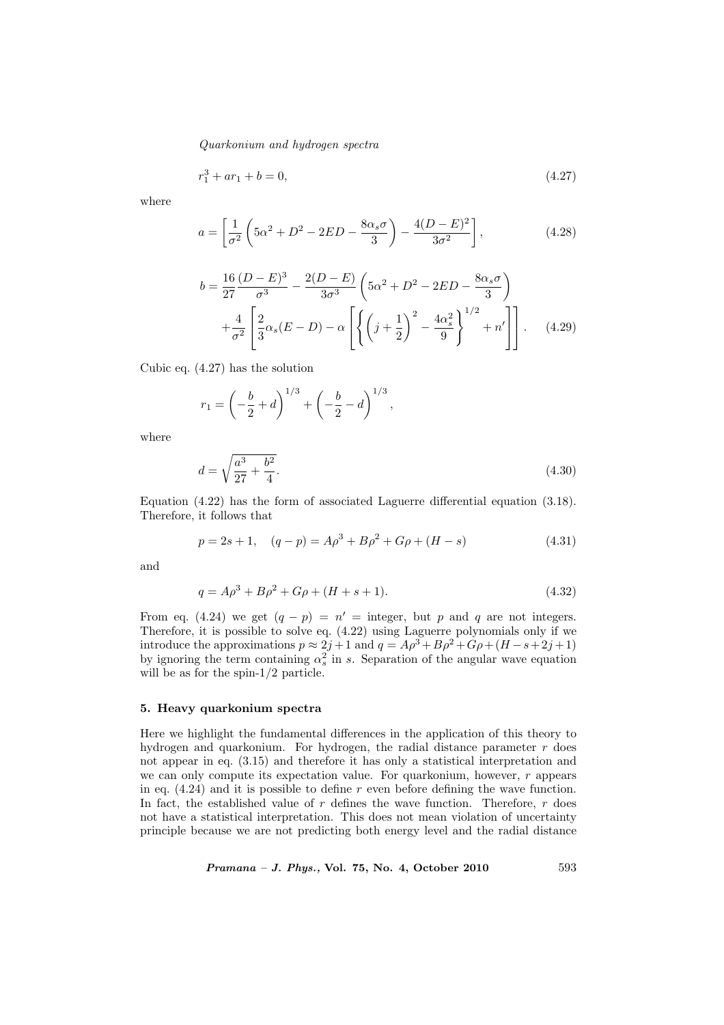$$
r_1^3 + ar_1 + b = 0,\t\t(4.27)
$$

where

$$
a = \left[\frac{1}{\sigma^2} \left(5\alpha^2 + D^2 - 2ED - \frac{8\alpha_s \sigma}{3}\right) - \frac{4(D - E)^2}{3\sigma^2}\right],
$$
 (4.28)

$$
b = \frac{16}{27} \frac{(D - E)^3}{\sigma^3} - \frac{2(D - E)}{3\sigma^3} \left( 5\alpha^2 + D^2 - 2ED - \frac{8\alpha_s \sigma}{3} \right) + \frac{4}{\sigma^2} \left[ \frac{2}{3} \alpha_s (E - D) - \alpha \left[ \left\{ \left( j + \frac{1}{2} \right)^2 - \frac{4\alpha_s^2}{9} \right\}^{1/2} + n' \right] \right].
$$
 (4.29)

Cubic eq. (4.27) has the solution

$$
r_1 = \left(-\frac{b}{2} + d\right)^{1/3} + \left(-\frac{b}{2} - d\right)^{1/3},
$$

where

$$
d = \sqrt{\frac{a^3}{27} + \frac{b^2}{4}}.\tag{4.30}
$$

Equation (4.22) has the form of associated Laguerre differential equation (3.18). Therefore, it follows that

$$
p = 2s + 1, \quad (q - p) = A\rho^{3} + B\rho^{2} + G\rho + (H - s)
$$
\n(4.31)

and

$$
q = A\rho^3 + B\rho^2 + G\rho + (H + s + 1). \tag{4.32}
$$

From eq. (4.24) we get  $(q - p) = n'$  = integer, but p and q are not integers. Therefore, it is possible to solve eq. (4.22) using Laguerre polynomials only if we introduce the approximations  $p \approx 2j+1$  and  $q = A\rho^3 + B\rho^2 + G\rho + (H - s + 2j + 1)$ by ignoring the term containing  $\alpha_s^2$  in s. Separation of the angular wave equation will be as for the spin- $1/2$  particle.

# 5. Heavy quarkonium spectra

Here we highlight the fundamental differences in the application of this theory to hydrogen and quarkonium. For hydrogen, the radial distance parameter  $r$  does not appear in eq. (3.15) and therefore it has only a statistical interpretation and we can only compute its expectation value. For quarkonium, however, r appears in eq.  $(4.24)$  and it is possible to define r even before defining the wave function. In fact, the established value of  $r$  defines the wave function. Therefore,  $r$  does not have a statistical interpretation. This does not mean violation of uncertainty principle because we are not predicting both energy level and the radial distance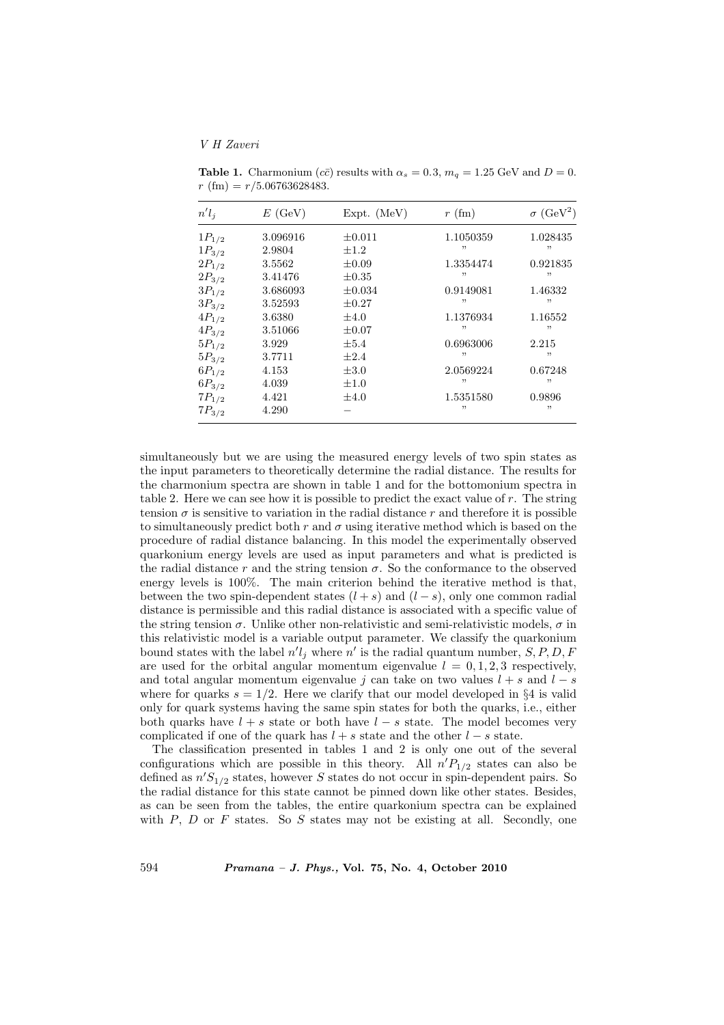| $n'l_i$    | $E$ (GeV) | $Expt.$ (MeV) | $r$ (fm)  | $\sigma$ (GeV <sup>2</sup> ) |
|------------|-----------|---------------|-----------|------------------------------|
| $1P_{1/2}$ | 3.096916  | $\pm 0.011$   | 1.1050359 | 1.028435                     |
| $1P_{3/2}$ | 2.9804    | $\pm 1.2$     | "         | , ,                          |
| $2P_{1/2}$ | 3.5562    | $\pm 0.09$    | 1.3354474 | 0.921835                     |
| $2P_{3/2}$ | 3.41476   | $\pm 0.35$    | "         | "                            |
| $3P_{1/2}$ | 3.686093  | $\pm 0.034$   | 0.9149081 | 1.46332                      |
| $3P_{3/2}$ | 3.52593   | $\pm 0.27$    | "         | ,,                           |
| $4P_{1/2}$ | 3.6380    | $\pm 4.0$     | 1.1376934 | 1.16552                      |
| $4P_{3/2}$ | 3.51066   | $\pm 0.07$    | "         | , ,                          |
| $5P_{1/2}$ | 3.929     | $\pm 5.4$     | 0.6963006 | 2.215                        |
| $5P_{3/2}$ | 3.7711    | $\pm 2.4$     | "         | "                            |
| $6P_{1/2}$ | 4.153     | $\pm 3.0$     | 2.0569224 | 0.67248                      |
| $6P_{3/2}$ | 4.039     | $\pm 1.0$     | "         | , ,                          |
| $7P_{1/2}$ | 4.421     | $\pm 4.0$     | 1.5351580 | 0.9896                       |
| $7P_{3/2}$ | 4.290     |               | "         | "                            |

**Table 1.** Charmonium ( $c\bar{c}$ ) results with  $\alpha_s = 0.3$ ,  $m_q = 1.25$  GeV and  $D = 0$ .  $r$  (fm) =  $r/5.06763628483$ .

simultaneously but we are using the measured energy levels of two spin states as the input parameters to theoretically determine the radial distance. The results for the charmonium spectra are shown in table 1 and for the bottomonium spectra in table 2. Here we can see how it is possible to predict the exact value of  $r$ . The string tension  $\sigma$  is sensitive to variation in the radial distance r and therefore it is possible to simultaneously predict both r and  $\sigma$  using iterative method which is based on the procedure of radial distance balancing. In this model the experimentally observed quarkonium energy levels are used as input parameters and what is predicted is the radial distance r and the string tension  $\sigma$ . So the conformance to the observed energy levels is 100%. The main criterion behind the iterative method is that, between the two spin-dependent states  $(l + s)$  and  $(l - s)$ , only one common radial distance is permissible and this radial distance is associated with a specific value of the string tension  $\sigma$ . Unlike other non-relativistic and semi-relativistic models,  $\sigma$  in this relativistic model is a variable output parameter. We classify the quarkonium bound states with the label  $n'l_j$  where  $n'$  is the radial quantum number,  $S, P, D, F$ are used for the orbital angular momentum eigenvalue  $l = 0, 1, 2, 3$  respectively, and total angular momentum eigenvalue j can take on two values  $l + s$  and  $l - s$ where for quarks  $s = 1/2$ . Here we clarify that our model developed in §4 is valid only for quark systems having the same spin states for both the quarks, i.e., either both quarks have  $l + s$  state or both have  $l - s$  state. The model becomes very complicated if one of the quark has  $l + s$  state and the other  $l - s$  state.

The classification presented in tables 1 and 2 is only one out of the several configurations which are possible in this theory. All  $n'P_{1/2}$  states can also be defined as  $n'S_{1/2}$  states, however S states do not occur in spin-dependent pairs. So the radial distance for this state cannot be pinned down like other states. Besides, as can be seen from the tables, the entire quarkonium spectra can be explained with  $P$ ,  $D$  or  $F$  states. So  $S$  states may not be existing at all. Secondly, one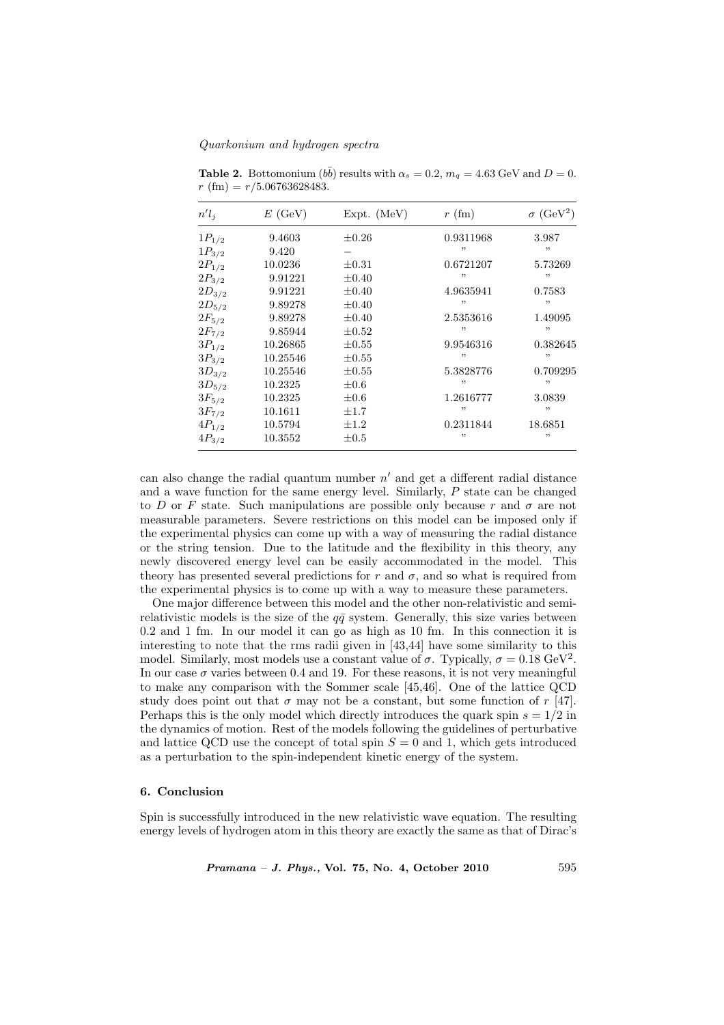| $n'l_i$    | $E$ (GeV) | $Expt.$ (MeV) | $r$ (fm)  | $\sigma$ (GeV <sup>2</sup> ) |
|------------|-----------|---------------|-----------|------------------------------|
| $1P_{1/2}$ | 9.4603    | $\pm 0.26$    | 0.9311968 | 3.987                        |
| $1P_{3/2}$ | 9.420     |               | "         | , ,                          |
| $2P_{1/2}$ | 10.0236   | $\pm 0.31$    | 0.6721207 | 5.73269                      |
| $2P_{3/2}$ | 9.91221   | $\pm 0.40$    | "         | , ,                          |
| $2D_{3/2}$ | 9.91221   | $\pm 0.40$    | 4.9635941 | 0.7583                       |
| $2D_{5/2}$ | 9.89278   | $\pm 0.40$    | "         | , ,                          |
| $2F_{5/2}$ | 9.89278   | $\pm 0.40$    | 2.5353616 | 1.49095                      |
| $2F_{7/2}$ | 9.85944   | $\pm 0.52$    | "         | , ,                          |
| $3P_{1/2}$ | 10.26865  | $\pm 0.55$    | 9.9546316 | 0.382645                     |
| $3P_{3/2}$ | 10.25546  | $\pm 0.55$    | "         | , ,                          |
| $3D_{3/2}$ | 10.25546  | $\pm 0.55$    | 5.3828776 | 0.709295                     |
| $3D_{5/2}$ | 10.2325   | $\pm 0.6$     | "         | , ,                          |
| $3F_{5/2}$ | 10.2325   | $\pm 0.6$     | 1.2616777 | 3.0839                       |
| $3F_{7/2}$ | 10.1611   | $\pm 1.7$     | "         | "                            |
| $4P_{1/2}$ | 10.5794   | $\pm 1.2$     | 0.2311844 | 18.6851                      |
| $4P_{3/2}$ | 10.3552   | $\pm 0.5$     | , ,       | "                            |

**Table 2.** Bottomonium  $(b\bar{b})$  results with  $\alpha_s = 0.2$ ,  $m_q = 4.63$  GeV and  $D = 0$ .  $r$  (fm) =  $r/5.06763628483$ .

can also change the radial quantum number  $n'$  and get a different radial distance and a wave function for the same energy level. Similarly, P state can be changed to D or F state. Such manipulations are possible only because r and  $\sigma$  are not measurable parameters. Severe restrictions on this model can be imposed only if the experimental physics can come up with a way of measuring the radial distance or the string tension. Due to the latitude and the flexibility in this theory, any newly discovered energy level can be easily accommodated in the model. This theory has presented several predictions for r and  $\sigma$ , and so what is required from the experimental physics is to come up with a way to measure these parameters.

One major difference between this model and the other non-relativistic and semirelativistic models is the size of the  $q\bar{q}$  system. Generally, this size varies between 0.2 and 1 fm. In our model it can go as high as 10 fm. In this connection it is interesting to note that the rms radii given in [43,44] have some similarity to this model. Similarly, most models use a constant value of  $\sigma$ . Typically,  $\sigma = 0.18 \text{ GeV}^2$ . In our case  $\sigma$  varies between 0.4 and 19. For these reasons, it is not very meaningful to make any comparison with the Sommer scale [45,46]. One of the lattice QCD study does point out that  $\sigma$  may not be a constant, but some function of r [47]. Perhaps this is the only model which directly introduces the quark spin  $s = 1/2$  in the dynamics of motion. Rest of the models following the guidelines of perturbative and lattice QCD use the concept of total spin  $S = 0$  and 1, which gets introduced as a perturbation to the spin-independent kinetic energy of the system.

### 6. Conclusion

Spin is successfully introduced in the new relativistic wave equation. The resulting energy levels of hydrogen atom in this theory are exactly the same as that of Dirac's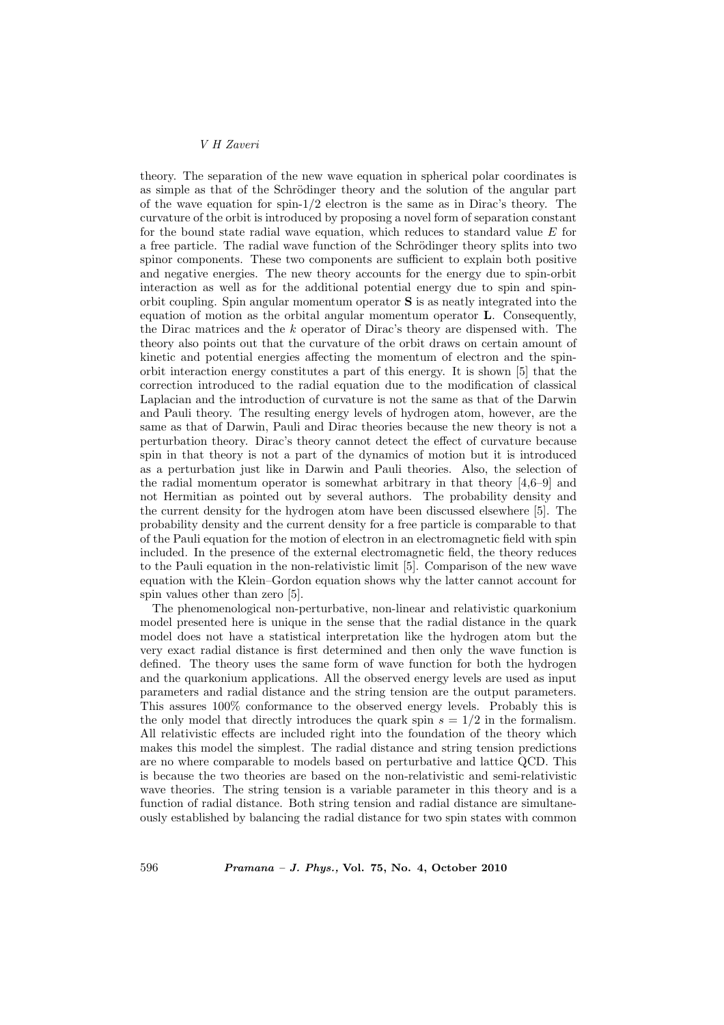theory. The separation of the new wave equation in spherical polar coordinates is as simple as that of the Schrödinger theory and the solution of the angular part of the wave equation for spin- $1/2$  electron is the same as in Dirac's theory. The curvature of the orbit is introduced by proposing a novel form of separation constant for the bound state radial wave equation, which reduces to standard value  $E$  for a free particle. The radial wave function of the Schrödinger theory splits into two spinor components. These two components are sufficient to explain both positive and negative energies. The new theory accounts for the energy due to spin-orbit interaction as well as for the additional potential energy due to spin and spinorbit coupling. Spin angular momentum operator S is as neatly integrated into the equation of motion as the orbital angular momentum operator L. Consequently, the Dirac matrices and the k operator of Dirac's theory are dispensed with. The theory also points out that the curvature of the orbit draws on certain amount of kinetic and potential energies affecting the momentum of electron and the spinorbit interaction energy constitutes a part of this energy. It is shown [5] that the correction introduced to the radial equation due to the modification of classical Laplacian and the introduction of curvature is not the same as that of the Darwin and Pauli theory. The resulting energy levels of hydrogen atom, however, are the same as that of Darwin, Pauli and Dirac theories because the new theory is not a perturbation theory. Dirac's theory cannot detect the effect of curvature because spin in that theory is not a part of the dynamics of motion but it is introduced as a perturbation just like in Darwin and Pauli theories. Also, the selection of the radial momentum operator is somewhat arbitrary in that theory [4,6–9] and not Hermitian as pointed out by several authors. The probability density and the current density for the hydrogen atom have been discussed elsewhere [5]. The probability density and the current density for a free particle is comparable to that of the Pauli equation for the motion of electron in an electromagnetic field with spin included. In the presence of the external electromagnetic field, the theory reduces to the Pauli equation in the non-relativistic limit [5]. Comparison of the new wave equation with the Klein–Gordon equation shows why the latter cannot account for spin values other than zero [5].

The phenomenological non-perturbative, non-linear and relativistic quarkonium model presented here is unique in the sense that the radial distance in the quark model does not have a statistical interpretation like the hydrogen atom but the very exact radial distance is first determined and then only the wave function is defined. The theory uses the same form of wave function for both the hydrogen and the quarkonium applications. All the observed energy levels are used as input parameters and radial distance and the string tension are the output parameters. This assures 100% conformance to the observed energy levels. Probably this is the only model that directly introduces the quark spin  $s = 1/2$  in the formalism. All relativistic effects are included right into the foundation of the theory which makes this model the simplest. The radial distance and string tension predictions are no where comparable to models based on perturbative and lattice QCD. This is because the two theories are based on the non-relativistic and semi-relativistic wave theories. The string tension is a variable parameter in this theory and is a function of radial distance. Both string tension and radial distance are simultaneously established by balancing the radial distance for two spin states with common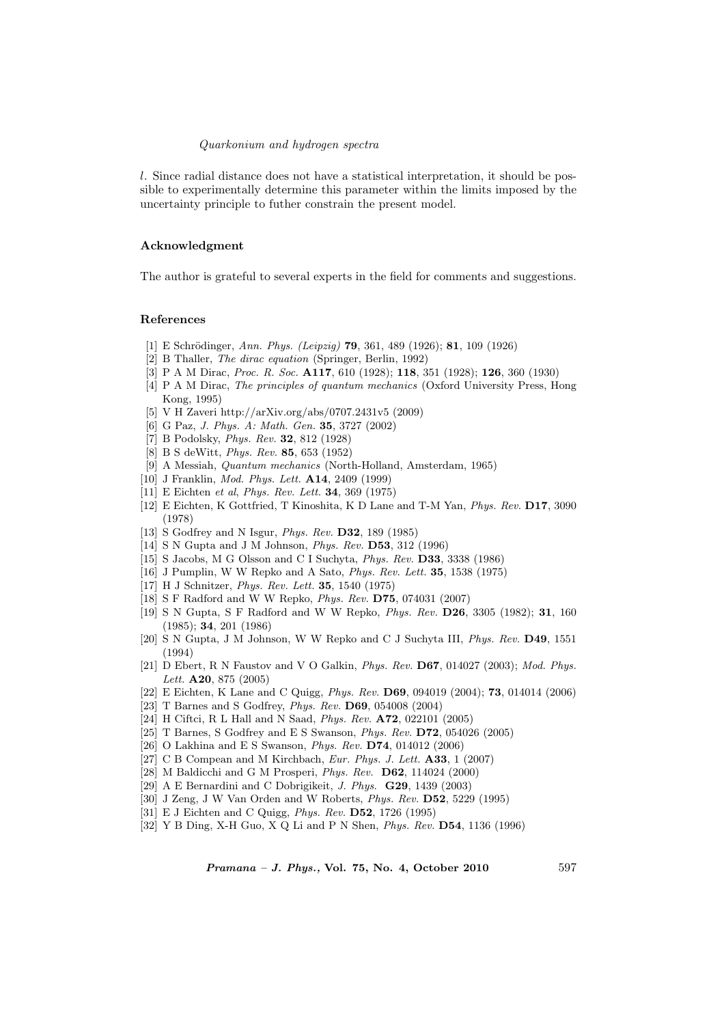l. Since radial distance does not have a statistical interpretation, it should be possible to experimentally determine this parameter within the limits imposed by the uncertainty principle to futher constrain the present model.

# Acknowledgment

The author is grateful to several experts in the field for comments and suggestions.

#### References

- [1] E Schrödinger, Ann. Phys. (Leipzig) 79, 361, 489 (1926); 81, 109 (1926)
- [2] B Thaller, The dirac equation (Springer, Berlin, 1992)
- [3] P A M Dirac, *Proc. R. Soc.* **A117**, 610 (1928); **118**, 351 (1928); **126**, 360 (1930)
- [4] P A M Dirac, The principles of quantum mechanics (Oxford University Press, Hong Kong, 1995)
- [5] V H Zaveri http://arXiv.org/abs/0707.2431v5 (2009)
- [6] G Paz, J. Phys. A: Math. Gen. 35, 3727 (2002)
- [7] B Podolsky, Phys. Rev. 32, 812 (1928)
- [8] B S deWitt, Phys. Rev. 85, 653 (1952)
- [9] A Messiah, Quantum mechanics (North-Holland, Amsterdam, 1965)
- [10] J Franklin, Mod. Phys. Lett. A14, 2409 (1999)
- [11] E Eichten et al, Phys. Rev. Lett. 34, 369 (1975)
- [12] E Eichten, K Gottfried, T Kinoshita, K D Lane and T-M Yan, Phys. Rev. D17, 3090 (1978)
- [13] S Godfrey and N Isgur, *Phys. Rev.* **D32**, 189 (1985)
- [14] S N Gupta and J M Johnson, *Phys. Rev.* **D53**, 312 (1996)
- [15] S Jacobs, M G Olsson and C I Suchyta, Phys. Rev. D33, 3338 (1986)
- [16] J Pumplin, W W Repko and A Sato, Phys. Rev. Lett. 35, 1538 (1975)
- [17] H J Schnitzer, Phys. Rev. Lett. 35, 1540 (1975)
- [18] S F Radford and W W Repko, Phys. Rev. D75, 074031 (2007)
- [19] S N Gupta, S F Radford and W W Repko, Phys. Rev. D26, 3305 (1982); 31, 160 (1985); 34, 201 (1986)
- [20] S N Gupta, J M Johnson, W W Repko and C J Suchyta III, Phys. Rev. D49, 1551 (1994)
- [21] D Ebert, R N Faustov and V O Galkin, Phys. Rev. D67, 014027 (2003); Mod. Phys. Lett. A20, 875 (2005)
- [22] E Eichten, K Lane and C Quigg, Phys. Rev. D69, 094019 (2004); 73, 014014 (2006)
- [23] T Barnes and S Godfrey, Phys. Rev. D69, 054008 (2004)
- [24] H Ciftci, R L Hall and N Saad, *Phys. Rev.* **A72**, 022101 (2005)
- [25] T Barnes, S Godfrey and E S Swanson, Phys. Rev. D72, 054026 (2005)
- [26] O Lakhina and E S Swanson, Phys. Rev. D74, 014012 (2006)
- [27] C B Compean and M Kirchbach, Eur. Phys. J. Lett.  $A33$ , 1 (2007)
- [28] M Baldicchi and G M Prosperi, Phys. Rev. D62, 114024 (2000)
- [29] A E Bernardini and C Dobrigikeit, J. Phys. G29, 1439 (2003)
- [30] J Zeng, J W Van Orden and W Roberts, Phys. Rev. D52, 5229 (1995)
- [31] E J Eichten and C Quigg, Phys. Rev. D52, 1726 (1995)
- [32] Y B Ding, X-H Guo, X Q Li and P N Shen, Phys. Rev. D54, 1136 (1996)